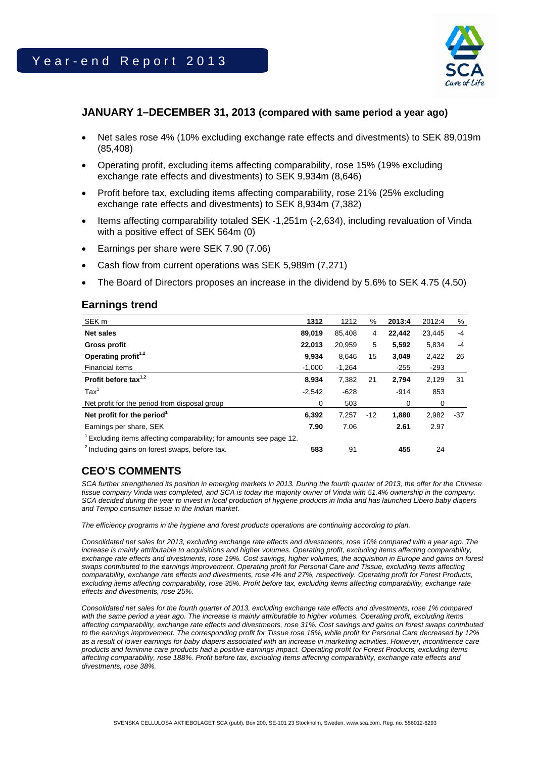

## **JANUARY 1–DECEMBER 31, 2013 (compared with same period a year ago)**

- Net sales rose 4% (10% excluding exchange rate effects and divestments) to SEK 89,019m (85,408)
- Operating profit, excluding items affecting comparability, rose 15% (19% excluding exchange rate effects and divestments) to SEK 9,934m (8,646)
- Profit before tax, excluding items affecting comparability, rose 21% (25% excluding exchange rate effects and divestments) to SEK 8,934m (7,382)
- Items affecting comparability totaled SEK -1,251m (-2,634), including revaluation of Vinda with a positive effect of SEK 564m (0)
- Earnings per share were SEK 7.90 (7.06)
- Cash flow from current operations was SEK 5,989m (7,271)
- The Board of Directors proposes an increase in the dividend by 5.6% to SEK 4.75 (4.50)

### **Earnings trend**

| SEK <sub>m</sub>                                                               | 1312     | 1212     | $\%$  | 2013:4 | 2012:4 | %    |
|--------------------------------------------------------------------------------|----------|----------|-------|--------|--------|------|
| <b>Net sales</b>                                                               | 89,019   | 85,408   | 4     | 22,442 | 23,445 | $-4$ |
| <b>Gross profit</b>                                                            | 22,013   | 20,959   | 5     | 5,592  | 5,834  | $-4$ |
| Operating profit <sup>1,2</sup>                                                | 9,934    | 8.646    | 15    | 3,049  | 2,422  | 26   |
| Financial items                                                                | $-1,000$ | $-1,264$ |       | $-255$ | $-293$ |      |
| Profit before tax $1,2$                                                        | 8,934    | 7,382    | 21    | 2,794  | 2,129  | 31   |
| $\text{Tax}^1$                                                                 | $-2,542$ | $-628$   |       | $-914$ | 853    |      |
| Net profit for the period from disposal group                                  | 0        | 503      |       | 0      | 0      |      |
| Net profit for the period <sup>1</sup>                                         | 6,392    | 7,257    | $-12$ | 1,880  | 2,982  | -37  |
| Earnings per share, SEK                                                        | 7.90     | 7.06     |       | 2.61   | 2.97   |      |
| <sup>1</sup> Excluding items affecting comparability; for amounts see page 12. |          |          |       |        |        |      |
| <sup>2</sup> Including gains on forest swaps, before tax.                      | 583      | 91       |       | 455    | 24     |      |

# **CEO'S COMMENTS**

*SCA further strengthened its position in emerging markets in 2013. During the fourth quarter of 2013, the offer for the Chinese tissue company Vinda was completed, and SCA is today the majority owner of Vinda with 51.4% ownership in the company. SCA decided during the year to invest in local production of hygiene products in India and has launched Libero baby diapers and Tempo consumer tissue in the Indian market.* 

*The efficiency programs in the hygiene and forest products operations are continuing according to plan.* 

*Consolidated net sales for 2013, excluding exchange rate effects and divestments, rose 10% compared with a year ago. The increase is mainly attributable to acquisitions and higher volumes. Operating profit, excluding items affecting comparability,*  exchange rate effects and divestments, rose 19%. Cost savings, higher volumes, the acquisition in Europe and gains on forest *swaps contributed to the earnings improvement. Operating profit for Personal Care and Tissue, excluding items affecting comparability, exchange rate effects and divestments, rose 4% and 27%, respectively. Operating profit for Forest Products, excluding items affecting comparability, rose 35%. Profit before tax, excluding items affecting comparability, exchange rate effects and divestments, rose 25%.* 

*Consolidated net sales for the fourth quarter of 2013, excluding exchange rate effects and divestments, rose 1% compared with the same period a year ago. The increase is mainly attributable to higher volumes. Operating profit, excluding items affecting comparability, exchange rate effects and divestments, rose 31%. Cost savings and gains on forest swaps contributed to the earnings improvement. The corresponding profit for Tissue rose 18%, while profit for Personal Care decreased by 12%*  as a result of lower earnings for baby diapers associated with an increase in marketing activities. However, incontinence care *products and feminine care products had a positive earnings impact. Operating profit for Forest Products, excluding items affecting comparability, rose 188%. Profit before tax, excluding items affecting comparability, exchange rate effects and divestments, rose 38%.*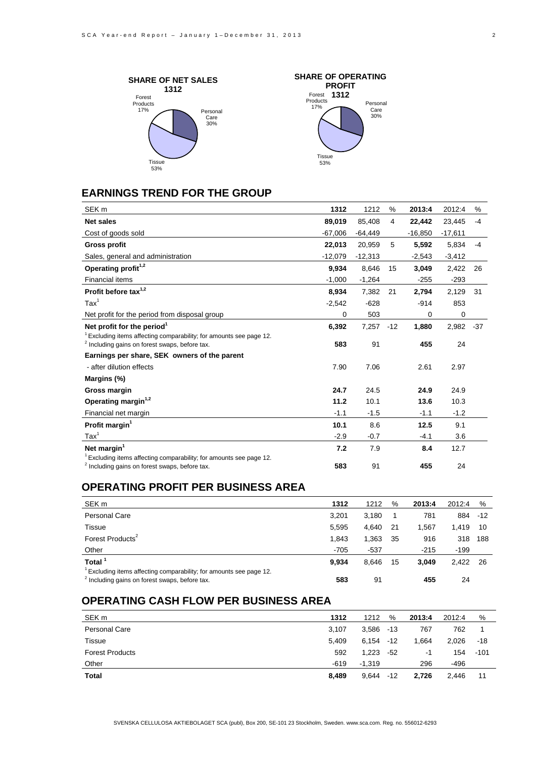



## **EARNINGS TREND FOR THE GROUP**

| SEK <sub>m</sub>                                                                                                                            | 1312      | 1212      | %     | 2013:4    | 2012:4    | %     |
|---------------------------------------------------------------------------------------------------------------------------------------------|-----------|-----------|-------|-----------|-----------|-------|
| <b>Net sales</b>                                                                                                                            | 89,019    | 85,408    | 4     | 22,442    | 23,445    | $-4$  |
| Cost of goods sold                                                                                                                          | $-67,006$ | $-64,449$ |       | $-16,850$ | $-17,611$ |       |
| <b>Gross profit</b>                                                                                                                         | 22,013    | 20,959    | 5     | 5,592     | 5,834     | $-4$  |
| Sales, general and administration                                                                                                           | $-12,079$ | $-12,313$ |       | $-2,543$  | $-3,412$  |       |
| Operating profit <sup>1,2</sup>                                                                                                             | 9,934     | 8,646     | 15    | 3,049     | 2,422     | 26    |
| <b>Financial items</b>                                                                                                                      | $-1,000$  | $-1,264$  |       | $-255$    | $-293$    |       |
| Profit before tax <sup>1,2</sup>                                                                                                            | 8,934     | 7,382     | 21    | 2,794     | 2,129     | 31    |
| $\text{Tax}^1$                                                                                                                              | $-2,542$  | $-628$    |       | $-914$    | 853       |       |
| Net profit for the period from disposal group                                                                                               | 0         | 503       |       | 0         | 0         |       |
| Net profit for the period <sup>1</sup>                                                                                                      | 6,392     | 7,257     | $-12$ | 1,880     | 2,982     | $-37$ |
| <sup>1</sup> Excluding items affecting comparability; for amounts see page 12.<br><sup>2</sup> Including gains on forest swaps, before tax. | 583       | 91        |       | 455       | 24        |       |
| Earnings per share, SEK owners of the parent                                                                                                |           |           |       |           |           |       |
| - after dilution effects                                                                                                                    | 7.90      | 7.06      |       | 2.61      | 2.97      |       |
| Margins (%)                                                                                                                                 |           |           |       |           |           |       |
| Gross margin                                                                                                                                | 24.7      | 24.5      |       | 24.9      | 24.9      |       |
| Operating margin <sup>1,2</sup>                                                                                                             | 11.2      | 10.1      |       | 13.6      | 10.3      |       |
| Financial net margin                                                                                                                        | $-1.1$    | $-1.5$    |       | $-1.1$    | $-1.2$    |       |
| Profit margin <sup>1</sup>                                                                                                                  | 10.1      | 8.6       |       | 12.5      | 9.1       |       |
| $\text{Tax}^1$                                                                                                                              | $-2.9$    | $-0.7$    |       | $-4.1$    | 3.6       |       |
| Net margin <sup>1</sup>                                                                                                                     | 7.2       | 7.9       |       | 8.4       | 12.7      |       |
| <sup>1</sup> Excluding items affecting comparability; for amounts see page 12.                                                              |           |           |       |           |           |       |
| <sup>2</sup> Including gains on forest swaps, before tax.                                                                                   | 583       | 91        |       | 455       | 24        |       |

## **OPERATING PROFIT PER BUSINESS AREA**

| SEK <sub>m</sub>                                                                                                               | 1312   | 1212   | %  | 2013:4 | 2012:4   | %   |
|--------------------------------------------------------------------------------------------------------------------------------|--------|--------|----|--------|----------|-----|
| Personal Care                                                                                                                  | 3.201  | 3.180  |    | 781    | 884 - 12 |     |
| Tissue                                                                                                                         | 5.595  | 4.640  | 21 | 1.567  | 1.419    | 10  |
| Forest Products <sup>2</sup>                                                                                                   | 1.843  | 1,363  | 35 | 916    | 318      | 188 |
| Other                                                                                                                          | $-705$ | $-537$ |    | $-215$ | $-199$   |     |
| Total <sup>1</sup>                                                                                                             | 9.934  | 8.646  | 15 | 3.049  | 2.422    | -26 |
| Excluding items affecting comparability; for amounts see page 12.<br><sup>2</sup> Including gains on forest swaps, before tax. | 583    | 91     |    | 455    | 24       |     |

## **OPERATING CASH FLOW PER BUSINESS AREA**

| SEK <sub>m</sub>       | 1312   | 1212     | %     | 2013:4 | 2012:4 | %      |
|------------------------|--------|----------|-------|--------|--------|--------|
| <b>Personal Care</b>   | 3.107  | 3.586    | $-13$ | 767    | 762    |        |
| Tissue                 | 5.409  | 6.154    | $-12$ | 1.664  | 2.026  | -18    |
| <b>Forest Products</b> | 592    | 1.223    | -52   | -1     | 154    | $-101$ |
| Other                  | $-619$ | $-1.319$ |       | 296    | -496   |        |
| <b>Total</b>           | 8,489  | 9.644    | $-12$ | 2.726  | 2.446  | 11     |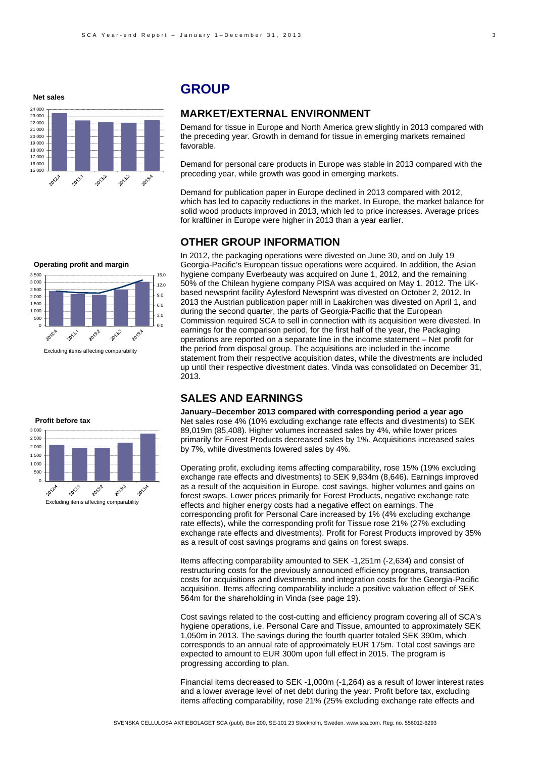**Net sales**



## **GROUP**

### **MARKET/EXTERNAL ENVIRONMENT**

Demand for tissue in Europe and North America grew slightly in 2013 compared with the preceding year. Growth in demand for tissue in emerging markets remained favorable.

Demand for personal care products in Europe was stable in 2013 compared with the preceding year, while growth was good in emerging markets.

Demand for publication paper in Europe declined in 2013 compared with 2012, which has led to capacity reductions in the market. In Europe, the market balance for solid wood products improved in 2013, which led to price increases. Average prices for kraftliner in Europe were higher in 2013 than a year earlier.

## **OTHER GROUP INFORMATION**

In 2012, the packaging operations were divested on June 30, and on July 19 Georgia-Pacific's European tissue operations were acquired. In addition, the Asian hygiene company Everbeauty was acquired on June 1, 2012, and the remaining 50% of the Chilean hygiene company PISA was acquired on May 1, 2012. The UKbased newsprint facility Aylesford Newsprint was divested on October 2, 2012. In 2013 the Austrian publication paper mill in Laakirchen was divested on April 1, and during the second quarter, the parts of Georgia-Pacific that the European Commission required SCA to sell in connection with its acquisition were divested. In earnings for the comparison period, for the first half of the year, the Packaging operations are reported on a separate line in the income statement – Net profit for the period from disposal group. The acquisitions are included in the income statement from their respective acquisition dates, while the divestments are included up until their respective divestment dates. Vinda was consolidated on December 31, 2013.

## **SALES AND EARNINGS**

**January–December 2013 compared with corresponding period a year ago**  Net sales rose 4% (10% excluding exchange rate effects and divestments) to SEK 89,019m (85,408). Higher volumes increased sales by 4%, while lower prices primarily for Forest Products decreased sales by 1%. Acquisitions increased sales by 7%, while divestments lowered sales by 4%.

Operating profit, excluding items affecting comparability, rose 15% (19% excluding exchange rate effects and divestments) to SEK 9,934m (8,646). Earnings improved as a result of the acquisition in Europe, cost savings, higher volumes and gains on forest swaps. Lower prices primarily for Forest Products, negative exchange rate effects and higher energy costs had a negative effect on earnings. The corresponding profit for Personal Care increased by 1% (4% excluding exchange rate effects), while the corresponding profit for Tissue rose 21% (27% excluding exchange rate effects and divestments). Profit for Forest Products improved by 35% as a result of cost savings programs and gains on forest swaps.

Items affecting comparability amounted to SEK -1,251m (-2,634) and consist of restructuring costs for the previously announced efficiency programs, transaction costs for acquisitions and divestments, and integration costs for the Georgia-Pacific acquisition. Items affecting comparability include a positive valuation effect of SEK 564m for the shareholding in Vinda (see page 19).

Cost savings related to the cost-cutting and efficiency program covering all of SCA's hygiene operations, i.e. Personal Care and Tissue, amounted to approximately SEK 1,050m in 2013. The savings during the fourth quarter totaled SEK 390m, which corresponds to an annual rate of approximately EUR 175m. Total cost savings are expected to amount to EUR 300m upon full effect in 2015. The program is progressing according to plan.

Financial items decreased to SEK -1,000m (-1,264) as a result of lower interest rates and a lower average level of net debt during the year. Profit before tax, excluding items affecting comparability, rose 21% (25% excluding exchange rate effects and

#### **Profit before tax**3 000 2 500 2 000 1 500 1 000 500  $\Omega$ 2013.2 2013.3 2013:1 2012年 2013.4

Excluding items affecting comparability



Excluding items affecting comparability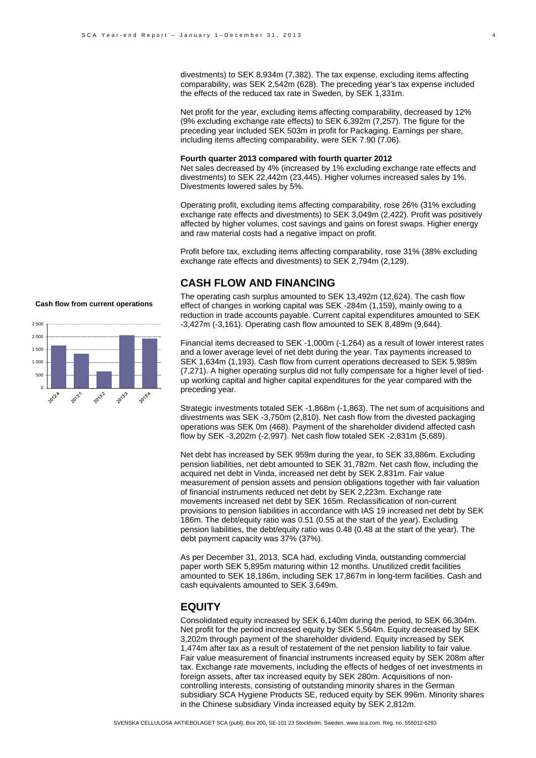divestments) to SEK 8,934m (7,382). The tax expense, excluding items affecting comparability, was SEK 2,542m (628). The preceding year's tax expense included the effects of the reduced tax rate in Sweden, by SEK 1,331m.

Net profit for the year, excluding items affecting comparability, decreased by 12% (9% excluding exchange rate effects) to SEK 6,392m (7,257). The figure for the preceding year included SEK 503m in profit for Packaging. Earnings per share, including items affecting comparability, were SEK 7.90 (7.06).

#### **Fourth quarter 2013 compared with fourth quarter 2012**

Net sales decreased by 4% (increased by 1% excluding exchange rate effects and divestments) to SEK 22,442m (23,445). Higher volumes increased sales by 1%. Divestments lowered sales by 5%.

Operating profit, excluding items affecting comparability, rose 26% (31% excluding exchange rate effects and divestments) to SEK 3,049m (2,422). Profit was positively affected by higher volumes, cost savings and gains on forest swaps. Higher energy and raw material costs had a negative impact on profit.

Profit before tax, excluding items affecting comparability, rose 31% (38% excluding exchange rate effects and divestments) to SEK 2,794m (2,129).

### **CASH FLOW AND FINANCING**

The operating cash surplus amounted to SEK 13,492m (12,624). The cash flow effect of changes in working capital was SEK -284m (1,159), mainly owing to a reduction in trade accounts payable. Current capital expenditures amounted to SEK -3,427m (-3,161). Operating cash flow amounted to SEK 8,489m (9,644).

Financial items decreased to SEK -1,000m (-1,264) as a result of lower interest rates and a lower average level of net debt during the year. Tax payments increased to SEK 1,634m (1,193). Cash flow from current operations decreased to SEK 5,989m (7,271). A higher operating surplus did not fully compensate for a higher level of tiedup working capital and higher capital expenditures for the year compared with the preceding year.

Strategic investments totaled SEK -1,868m (-1,863). The net sum of acquisitions and divestments was SEK -3,750m (2,810). Net cash flow from the divested packaging operations was SEK 0m (468). Payment of the shareholder dividend affected cash flow by SEK -3,202m (-2,997). Net cash flow totaled SEK -2,831m (5,689).

Net debt has increased by SEK 959m during the year, to SEK 33,886m. Excluding pension liabilities, net debt amounted to SEK 31,782m. Net cash flow, including the acquired net debt in Vinda, increased net debt by SEK 2,831m. Fair value measurement of pension assets and pension obligations together with fair valuation of financial instruments reduced net debt by SEK 2,223m. Exchange rate movements increased net debt by SEK 165m. Reclassification of non-current provisions to pension liabilities in accordance with IAS 19 increased net debt by SEK 186m. The debt/equity ratio was 0.51 (0.55 at the start of the year). Excluding pension liabilities, the debt/equity ratio was 0.48 (0.48 at the start of the year). The debt payment capacity was 37% (37%).

As per December 31, 2013, SCA had, excluding Vinda, outstanding commercial paper worth SEK 5,895m maturing within 12 months. Unutilized credit facilities amounted to SEK 18,186m, including SEK 17,867m in long-term facilities. Cash and cash equivalents amounted to SEK 3,649m.

## **EQUITY**

Consolidated equity increased by SEK 6,140m during the period, to SEK 66,304m. Net profit for the period increased equity by SEK 5,564m. Equity decreased by SEK 3,202m through payment of the shareholder dividend. Equity increased by SEK 1,474m after tax as a result of restatement of the net pension liability to fair value. Fair value measurement of financial instruments increased equity by SEK 208m after tax. Exchange rate movements, including the effects of hedges of net investments in foreign assets, after tax increased equity by SEK 280m. Acquisitions of noncontrolling interests, consisting of outstanding minority shares in the German subsidiary SCA Hygiene Products SE, reduced equity by SEK 996m. Minority shares in the Chinese subsidiary Vinda increased equity by SEK 2,812m.



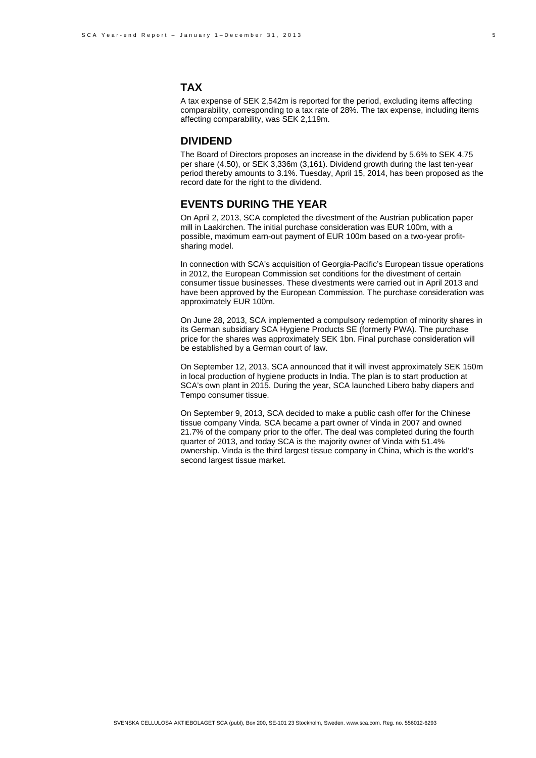# **TAX**

A tax expense of SEK 2,542m is reported for the period, excluding items affecting comparability, corresponding to a tax rate of 28%. The tax expense, including items affecting comparability, was SEK 2,119m.

#### **DIVIDEND**

The Board of Directors proposes an increase in the dividend by 5.6% to SEK 4.75 per share (4.50), or SEK 3,336m (3,161). Dividend growth during the last ten-year period thereby amounts to 3.1%. Tuesday, April 15, 2014, has been proposed as the record date for the right to the dividend.

## **EVENTS DURING THE YEAR**

On April 2, 2013, SCA completed the divestment of the Austrian publication paper mill in Laakirchen. The initial purchase consideration was EUR 100m, with a possible, maximum earn-out payment of EUR 100m based on a two-year profitsharing model.

In connection with SCA's acquisition of Georgia-Pacific's European tissue operations in 2012, the European Commission set conditions for the divestment of certain consumer tissue businesses. These divestments were carried out in April 2013 and have been approved by the European Commission. The purchase consideration was approximately EUR 100m.

On June 28, 2013, SCA implemented a compulsory redemption of minority shares in its German subsidiary SCA Hygiene Products SE (formerly PWA). The purchase price for the shares was approximately SEK 1bn. Final purchase consideration will be established by a German court of law.

On September 12, 2013, SCA announced that it will invest approximately SEK 150m in local production of hygiene products in India. The plan is to start production at SCA's own plant in 2015. During the year, SCA launched Libero baby diapers and Tempo consumer tissue.

On September 9, 2013, SCA decided to make a public cash offer for the Chinese tissue company Vinda. SCA became a part owner of Vinda in 2007 and owned 21.7% of the company prior to the offer. The deal was completed during the fourth quarter of 2013, and today SCA is the majority owner of Vinda with 51.4% ownership. Vinda is the third largest tissue company in China, which is the world's second largest tissue market.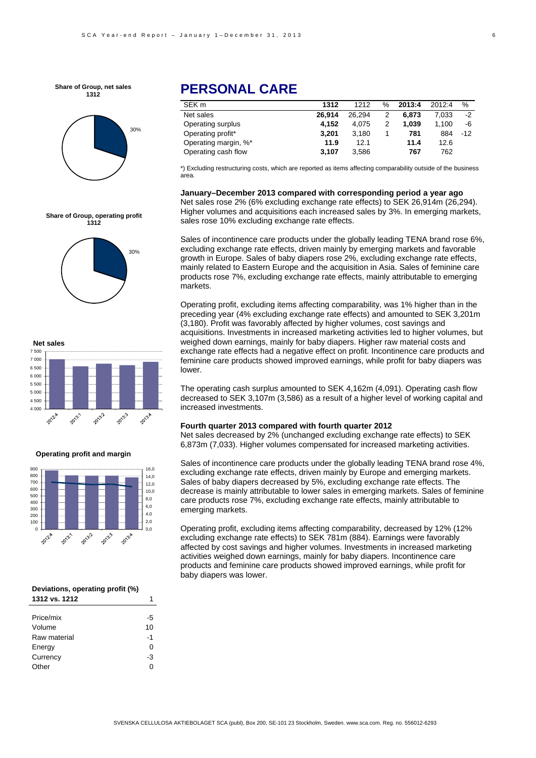**Share of Group, net sales 1312**



# **PERSONAL CARE**

| SEK m                | 1312   | 1212   | $\%$ | 2013:4 | 2012:4 | %     |
|----------------------|--------|--------|------|--------|--------|-------|
| Net sales            | 26.914 | 26.294 | 2    | 6.873  | 7.033  | $-2$  |
| Operating surplus    | 4.152  | 4.075  | 2    | 1.039  | 1.100  | -6    |
| Operating profit*    | 3.201  | 3.180  |      | 781    | 884    | $-12$ |
| Operating margin, %* | 11.9   | 12.1   |      | 11.4   | 12.6   |       |
| Operating cash flow  | 3.107  | 3.586  |      | 767    | 762    |       |

\*) Excluding restructuring costs, which are reported as items affecting comparability outside of the business area.

**January–December 2013 compared with corresponding period a year ago**  Net sales rose 2% (6% excluding exchange rate effects) to SEK 26,914m (26,294). Higher volumes and acquisitions each increased sales by 3%. In emerging markets, sales rose 10% excluding exchange rate effects.

Sales of incontinence care products under the globally leading TENA brand rose 6%, excluding exchange rate effects, driven mainly by emerging markets and favorable growth in Europe. Sales of baby diapers rose 2%, excluding exchange rate effects, mainly related to Eastern Europe and the acquisition in Asia. Sales of feminine care products rose 7%, excluding exchange rate effects, mainly attributable to emerging markets.

Operating profit, excluding items affecting comparability, was 1% higher than in the preceding year (4% excluding exchange rate effects) and amounted to SEK 3,201m (3,180). Profit was favorably affected by higher volumes, cost savings and acquisitions. Investments in increased marketing activities led to higher volumes, but weighed down earnings, mainly for baby diapers. Higher raw material costs and exchange rate effects had a negative effect on profit. Incontinence care products and feminine care products showed improved earnings, while profit for baby diapers was lower.

The operating cash surplus amounted to SEK 4,162m (4,091). Operating cash flow decreased to SEK 3,107m (3,586) as a result of a higher level of working capital and increased investments.

#### **Fourth quarter 2013 compared with fourth quarter 2012**

Net sales decreased by 2% (unchanged excluding exchange rate effects) to SEK 6,873m (7,033). Higher volumes compensated for increased marketing activities.

Sales of incontinence care products under the globally leading TENA brand rose 4%, excluding exchange rate effects, driven mainly by Europe and emerging markets. Sales of baby diapers decreased by 5%, excluding exchange rate effects. The decrease is mainly attributable to lower sales in emerging markets. Sales of feminine care products rose 7%, excluding exchange rate effects, mainly attributable to emerging markets.

Operating profit, excluding items affecting comparability, decreased by 12% (12% excluding exchange rate effects) to SEK 781m (884). Earnings were favorably affected by cost savings and higher volumes. Investments in increased marketing activities weighed down earnings, mainly for baby diapers. Incontinence care products and feminine care products showed improved earnings, while profit for baby diapers was lower.







#### **Operating profit and margin**



| Deviations, operating profit (%) |    |  |  |
|----------------------------------|----|--|--|
| 1312 vs. 1212                    |    |  |  |
|                                  |    |  |  |
| Price/mix                        | -5 |  |  |
| Volume                           | 10 |  |  |
| Raw material                     | -1 |  |  |

Energy 0 Currency -3 Other 0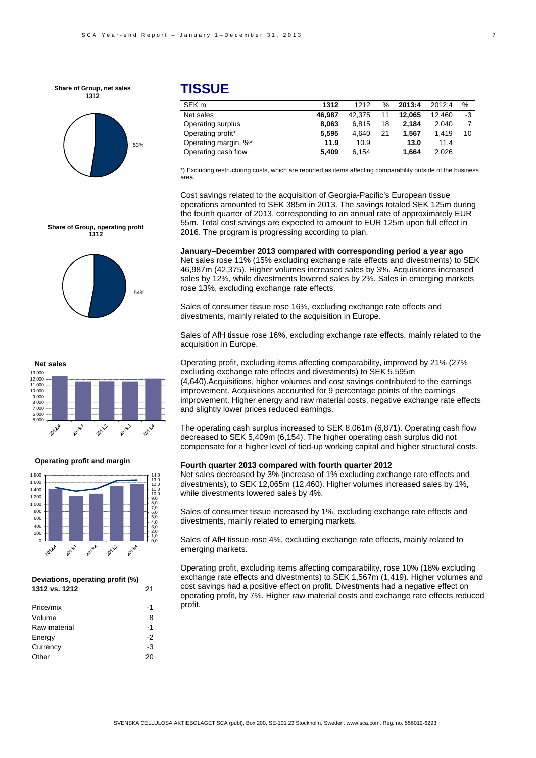**Share of Group, net sales 1312**



## **TISSUE**

| SEK m                | 1312   | 1212   | ℅  | 2013:4 | 2012.4 | %  |
|----------------------|--------|--------|----|--------|--------|----|
| Net sales            | 46.987 | 42.375 | 11 | 12.065 | 12.460 | -3 |
| Operating surplus    | 8.063  | 6.815  | 18 | 2.184  | 2.040  |    |
| Operating profit*    | 5.595  | 4.640  | 21 | 1.567  | 1.419  | 10 |
| Operating margin, %* | 11.9   | 10.9   |    | 13.0   | 11.4   |    |
| Operating cash flow  | 5.409  | 6.154  |    | 1.664  | 2.026  |    |
|                      |        |        |    |        |        |    |

\*) Excluding restructuring costs, which are reported as items affecting comparability outside of the business area.

Cost savings related to the acquisition of Georgia-Pacific's European tissue operations amounted to SEK 385m in 2013. The savings totaled SEK 125m during the fourth quarter of 2013, corresponding to an annual rate of approximately EUR 55m. Total cost savings are expected to amount to EUR 125m upon full effect in 2016. The program is progressing according to plan.

**January–December 2013 compared with corresponding period a year ago**  Net sales rose 11% (15% excluding exchange rate effects and divestments) to SEK 46,987m (42,375). Higher volumes increased sales by 3%. Acquisitions increased sales by 12%, while divestments lowered sales by 2%. Sales in emerging markets rose 13%, excluding exchange rate effects.

Sales of consumer tissue rose 16%, excluding exchange rate effects and divestments, mainly related to the acquisition in Europe.

Sales of AfH tissue rose 16%, excluding exchange rate effects, mainly related to the acquisition in Europe.

Operating profit, excluding items affecting comparability, improved by 21% (27% excluding exchange rate effects and divestments) to SEK 5,595m (4,640).Acquisitions, higher volumes and cost savings contributed to the earnings improvement. Acquisitions accounted for 9 percentage points of the earnings improvement. Higher energy and raw material costs, negative exchange rate effects and slightly lower prices reduced earnings.

The operating cash surplus increased to SEK 8,061m (6,871). Operating cash flow decreased to SEK 5,409m (6,154). The higher operating cash surplus did not compensate for a higher level of tied-up working capital and higher structural costs.

#### **Fourth quarter 2013 compared with fourth quarter 2012**

Net sales decreased by 3% (increase of 1% excluding exchange rate effects and divestments), to SEK 12,065m (12,460). Higher volumes increased sales by 1%, while divestments lowered sales by 4%.

Sales of consumer tissue increased by 1%, excluding exchange rate effects and divestments, mainly related to emerging markets.

Sales of AfH tissue rose 4%, excluding exchange rate effects, mainly related to emerging markets.

Operating profit, excluding items affecting comparability, rose 10% (18% excluding exchange rate effects and divestments) to SEK 1,567m (1,419). Higher volumes and cost savings had a positive effect on profit. Divestments had a negative effect on operating profit, by 7%. Higher raw material costs and exchange rate effects reduced profit.









#### **Deviations, operating profit (%) 1312 vs. 1212** 21

| Price/mix    | -1 |
|--------------|----|
| Volume       | 8  |
| Raw material | -1 |
| Energy       | -2 |
| Currency     | -3 |
| Other        | 20 |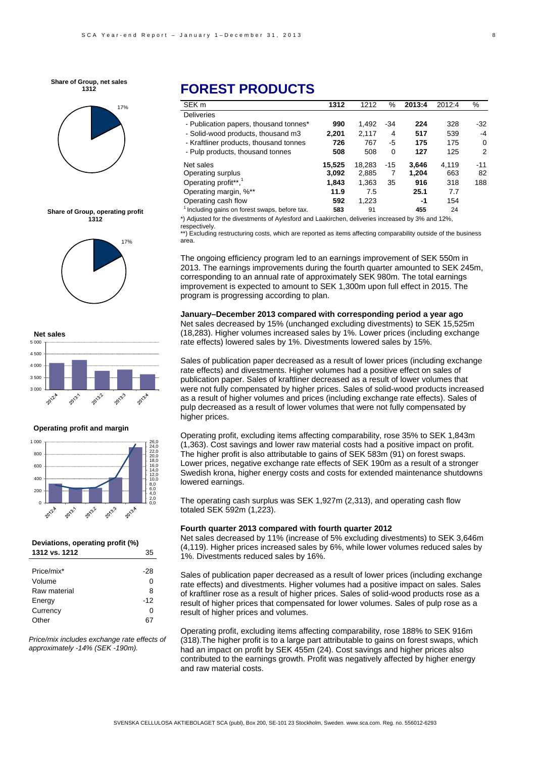**Share of Group, net sales 1312**









#### **Operating profit and margin**



#### **Deviations, operating profit (%) 1312 vs. 1212** 35

| Price/mix*   | -28   |
|--------------|-------|
| Volume       | O     |
| Raw material | 8     |
| Energy       | $-12$ |
| Currency     | ŋ     |
| Other        |       |

*Price/mix includes exchange rate effects of approximately -14% (SEK -190m).* 

# **FOREST PRODUCTS**

| SEK <sub>m</sub>                             | 1312   | 1212   | %        | 2013:4 | 2012:4 | %        |
|----------------------------------------------|--------|--------|----------|--------|--------|----------|
| <b>Deliveries</b>                            |        |        |          |        |        |          |
| - Publication papers, thousand tonnes*       | 990    | 1.492  | $-34$    | 224    | 328    | -32      |
| - Solid-wood products, thousand m3           | 2.201  | 2,117  | 4        | 517    | 539    | -4       |
| - Kraftliner products, thousand tonnes       | 726    | 767    | -5       | 175    | 175    | $\Omega$ |
| - Pulp products, thousand tonnes             | 508    | 508    | $\Omega$ | 127    | 125    | 2        |
| Net sales                                    | 15,525 | 18.283 | $-15$    | 3.646  | 4.119  | $-11$    |
| Operating surplus                            | 3,092  | 2,885  | 7        | 1,204  | 663    | 82       |
| Operating profit**, <sup>1</sup>             | 1,843  | 1.363  | 35       | 916    | 318    | 188      |
| Operating margin, %**                        | 11.9   | 7.5    |          | 25.1   | 7.7    |          |
| Operating cash flow                          | 592    | 1.223  |          | -1     | 154    |          |
| Including gains on forest swaps, before tax. | 583    | 91     |          | 455    | 24     |          |

\*) Adjusted for the divestments of Aylesford and Laakirchen, deliveries increased by 3% and 12%, respectively.

\*\*) Excluding restructuring costs, which are reported as items affecting comparability outside of the business area.

The ongoing efficiency program led to an earnings improvement of SEK 550m in 2013. The earnings improvements during the fourth quarter amounted to SEK 245m, corresponding to an annual rate of approximately SEK 980m. The total earnings improvement is expected to amount to SEK 1,300m upon full effect in 2015. The program is progressing according to plan.

**January–December 2013 compared with corresponding period a year ago**  Net sales decreased by 15% (unchanged excluding divestments) to SEK 15,525m (18,283). Higher volumes increased sales by 1%. Lower prices (including exchange rate effects) lowered sales by 1%. Divestments lowered sales by 15%.

Sales of publication paper decreased as a result of lower prices (including exchange rate effects) and divestments. Higher volumes had a positive effect on sales of publication paper. Sales of kraftliner decreased as a result of lower volumes that were not fully compensated by higher prices. Sales of solid-wood products increased as a result of higher volumes and prices (including exchange rate effects). Sales of pulp decreased as a result of lower volumes that were not fully compensated by higher prices.

Operating profit, excluding items affecting comparability, rose 35% to SEK 1,843m (1,363). Cost savings and lower raw material costs had a positive impact on profit. The higher profit is also attributable to gains of SEK 583m (91) on forest swaps. Lower prices, negative exchange rate effects of SEK 190m as a result of a stronger Swedish krona, higher energy costs and costs for extended maintenance shutdowns lowered earnings.

The operating cash surplus was SEK 1,927m (2,313), and operating cash flow totaled SEK 592m (1,223).

#### **Fourth quarter 2013 compared with fourth quarter 2012**

Net sales decreased by 11% (increase of 5% excluding divestments) to SEK 3,646m (4,119). Higher prices increased sales by 6%, while lower volumes reduced sales by 1%. Divestments reduced sales by 16%.

Sales of publication paper decreased as a result of lower prices (including exchange rate effects) and divestments. Higher volumes had a positive impact on sales. Sales of kraftliner rose as a result of higher prices. Sales of solid-wood products rose as a result of higher prices that compensated for lower volumes. Sales of pulp rose as a result of higher prices and volumes.

Operating profit, excluding items affecting comparability, rose 188% to SEK 916m (318).The higher profit is to a large part attributable to gains on forest swaps, which had an impact on profit by SEK 455m (24). Cost savings and higher prices also contributed to the earnings growth. Profit was negatively affected by higher energy and raw material costs.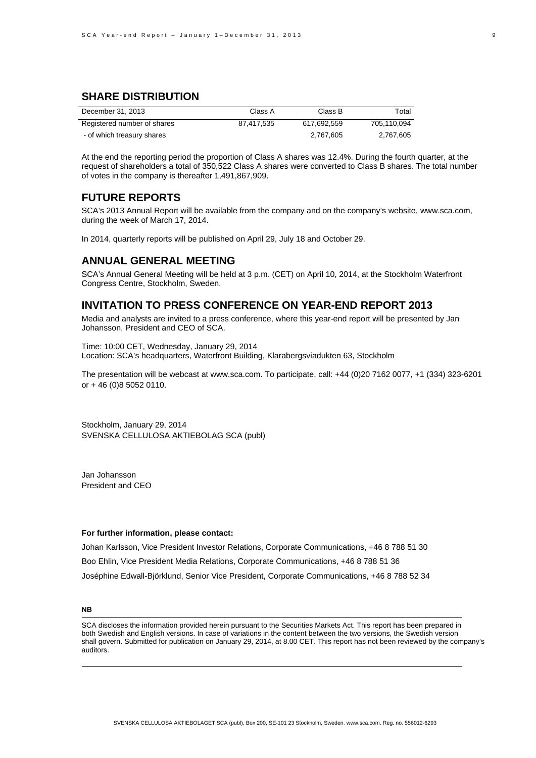### **SHARE DISTRIBUTION**

| December 31, 2013           | Class A    | Class B     | Total       |
|-----------------------------|------------|-------------|-------------|
| Registered number of shares | 87.417.535 | 617.692.559 | 705.110.094 |
| - of which treasury shares  |            | 2,767,605   | 2,767,605   |

At the end the reporting period the proportion of Class A shares was 12.4%. During the fourth quarter, at the request of shareholders a total of 350,522 Class A shares were converted to Class B shares. The total number of votes in the company is thereafter 1,491,867,909.

### **FUTURE REPORTS**

SCA's 2013 Annual Report will be available from the company and on the company's website, www.sca.com, during the week of March 17, 2014.

In 2014, quarterly reports will be published on April 29, July 18 and October 29.

#### **ANNUAL GENERAL MEETING**

SCA's Annual General Meeting will be held at 3 p.m. (CET) on April 10, 2014, at the Stockholm Waterfront Congress Centre, Stockholm, Sweden.

#### **INVITATION TO PRESS CONFERENCE ON YEAR-END REPORT 2013**

Media and analysts are invited to a press conference, where this year-end report will be presented by Jan Johansson, President and CEO of SCA.

Time: 10:00 CET, Wednesday, January 29, 2014 Location: SCA's headquarters, Waterfront Building, Klarabergsviadukten 63, Stockholm

The presentation will be webcast at www.sca.com. To participate, call: +44 (0)20 7162 0077, +1 (334) 323-6201 or + 46 (0)8 5052 0110.

Stockholm, January 29, 2014 SVENSKA CELLULOSA AKTIEBOLAG SCA (publ)

Jan Johansson President and CEO

#### **For further information, please contact:**

Johan Karlsson, Vice President Investor Relations, Corporate Communications, +46 8 788 51 30 Boo Ehlin, Vice President Media Relations, Corporate Communications, +46 8 788 51 36 Joséphine Edwall-Björklund, Senior Vice President, Corporate Communications, +46 8 788 52 34

#### **NB**

SCA discloses the information provided herein pursuant to the Securities Markets Act. This report has been prepared in both Swedish and English versions. In case of variations in the content between the two versions, the Swedish version shall govern. Submitted for publication on January 29, 2014, at 8.00 CET. This report has not been reviewed by the company's auditors.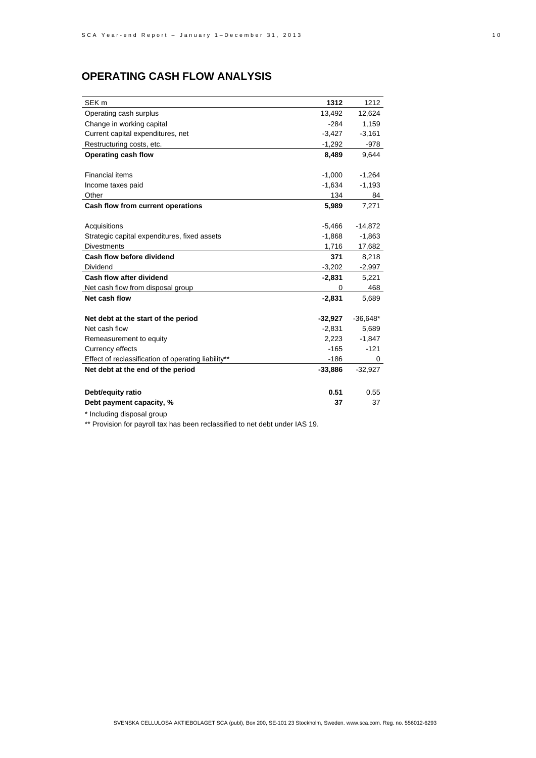# **OPERATING CASH FLOW ANALYSIS**

| SEK <sub>m</sub>                                    | 1312      | 1212       |
|-----------------------------------------------------|-----------|------------|
| Operating cash surplus                              | 13.492    | 12,624     |
| Change in working capital                           | $-284$    | 1,159      |
| Current capital expenditures, net                   | $-3,427$  | $-3,161$   |
| Restructuring costs, etc.                           | $-1,292$  | -978       |
| Operating cash flow                                 | 8,489     | 9.644      |
|                                                     |           |            |
| <b>Financial items</b>                              | $-1,000$  | $-1,264$   |
| Income taxes paid                                   | $-1,634$  | $-1,193$   |
| Other                                               | 134       | 84         |
| Cash flow from current operations                   | 5,989     | 7,271      |
|                                                     |           |            |
| Acquisitions                                        | $-5,466$  | $-14,872$  |
| Strategic capital expenditures, fixed assets        | $-1,868$  | $-1,863$   |
| <b>Divestments</b>                                  | 1,716     | 17,682     |
| Cash flow before dividend                           | 371       | 8,218      |
| Dividend                                            | $-3,202$  | $-2,997$   |
| Cash flow after dividend                            | $-2,831$  | 5,221      |
| Net cash flow from disposal group                   | 0         | 468        |
| Net cash flow                                       | $-2,831$  | 5,689      |
|                                                     |           |            |
| Net debt at the start of the period                 | $-32,927$ | $-36,648*$ |
| Net cash flow                                       | $-2,831$  | 5,689      |
| Remeasurement to equity                             | 2,223     | $-1,847$   |
| Currency effects                                    | $-165$    | $-121$     |
| Effect of reclassification of operating liability** | -186      | 0          |
| Net debt at the end of the period                   | $-33,886$ | $-32,927$  |
|                                                     |           |            |
| Debt/equity ratio                                   | 0.51      | 0.55       |
| Debt payment capacity, %                            | 37        | 37         |

\* Including disposal group

\*\* Provision for payroll tax has been reclassified to net debt under IAS 19.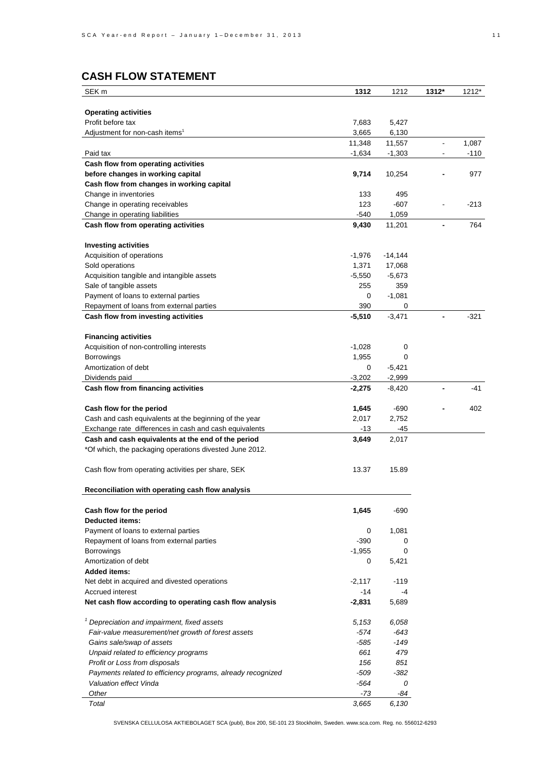# **CASH FLOW STATEMENT**

| SEK <sub>m</sub>                                              | 1312               | 1212               | 1312*                                      | 1212*           |
|---------------------------------------------------------------|--------------------|--------------------|--------------------------------------------|-----------------|
|                                                               |                    |                    |                                            |                 |
| <b>Operating activities</b>                                   |                    |                    |                                            |                 |
| Profit before tax                                             | 7,683              | 5,427              |                                            |                 |
| Adjustment for non-cash items <sup>1</sup>                    | 3,665              | 6,130              |                                            |                 |
| Paid tax                                                      | 11,348<br>$-1,634$ | 11,557<br>$-1,303$ | $\blacksquare$<br>$\overline{\phantom{a}}$ | 1,087<br>$-110$ |
| Cash flow from operating activities                           |                    |                    |                                            |                 |
| before changes in working capital                             | 9,714              | 10,254             |                                            | 977             |
| Cash flow from changes in working capital                     |                    |                    |                                            |                 |
| Change in inventories                                         | 133                | 495                |                                            |                 |
| Change in operating receivables                               | 123                | $-607$             |                                            | $-213$          |
| Change in operating liabilities                               | -540               | 1,059              |                                            |                 |
| Cash flow from operating activities                           | 9,430              | 11,201             | $\blacksquare$                             | 764             |
|                                                               |                    |                    |                                            |                 |
| <b>Investing activities</b>                                   |                    |                    |                                            |                 |
| Acquisition of operations                                     | $-1,976$           | $-14,144$          |                                            |                 |
| Sold operations                                               | 1,371              | 17,068             |                                            |                 |
| Acquisition tangible and intangible assets                    | $-5,550$           | $-5,673$           |                                            |                 |
| Sale of tangible assets                                       | 255                | 359                |                                            |                 |
| Payment of loans to external parties                          | 0                  | $-1,081$           |                                            |                 |
| Repayment of loans from external parties                      | 390                | 0                  |                                            |                 |
| Cash flow from investing activities                           | $-5,510$           | $-3,471$           |                                            | $-321$          |
|                                                               |                    |                    |                                            |                 |
| <b>Financing activities</b>                                   | $-1,028$           | 0                  |                                            |                 |
| Acquisition of non-controlling interests<br><b>Borrowings</b> | 1,955              | 0                  |                                            |                 |
| Amortization of debt                                          | 0                  | $-5,421$           |                                            |                 |
| Dividends paid                                                | $-3,202$           | $-2,999$           |                                            |                 |
| Cash flow from financing activities                           | $-2,275$           | $-8,420$           |                                            | -41             |
|                                                               |                    |                    |                                            |                 |
| Cash flow for the period                                      | 1,645              | $-690$             |                                            | 402             |
| Cash and cash equivalents at the beginning of the year        | 2,017              | 2,752              |                                            |                 |
| Exchange rate differences in cash and cash equivalents        | -13                | -45                |                                            |                 |
| Cash and cash equivalents at the end of the period            | 3,649              | 2,017              |                                            |                 |
| *Of which, the packaging operations divested June 2012.       |                    |                    |                                            |                 |
|                                                               |                    |                    |                                            |                 |
| Cash flow from operating activities per share, SEK            | 13.37              | 15.89              |                                            |                 |
|                                                               |                    |                    |                                            |                 |
| Reconciliation with operating cash flow analysis              |                    |                    |                                            |                 |
|                                                               | 1,645              | $-690$             |                                            |                 |
| Cash flow for the period<br><b>Deducted items:</b>            |                    |                    |                                            |                 |
| Payment of loans to external parties                          | 0                  | 1,081              |                                            |                 |
| Repayment of loans from external parties                      | -390               | 0                  |                                            |                 |
| Borrowings                                                    | $-1,955$           | 0                  |                                            |                 |
| Amortization of debt                                          | 0                  | 5,421              |                                            |                 |
| <b>Added items:</b>                                           |                    |                    |                                            |                 |
| Net debt in acquired and divested operations                  | $-2,117$           | -119               |                                            |                 |
| <b>Accrued interest</b>                                       | -14                | $-4$               |                                            |                 |
| Net cash flow according to operating cash flow analysis       | $-2,831$           | 5,689              |                                            |                 |
|                                                               |                    |                    |                                            |                 |
| $1$ Depreciation and impairment, fixed assets                 | 5,153              | 6,058              |                                            |                 |
| Fair-value measurement/net growth of forest assets            | -574               | -643               |                                            |                 |
| Gains sale/swap of assets                                     | $-585$             | $-149$             |                                            |                 |
| Unpaid related to efficiency programs                         | 661                | 479                |                                            |                 |
| Profit or Loss from disposals                                 | 156                | 851                |                                            |                 |
| Payments related to efficiency programs, already recognized   | -509               | -382               |                                            |                 |
| Valuation effect Vinda                                        | -564               | 0                  |                                            |                 |
| Other                                                         | $-73$              | -84                |                                            |                 |
| Total                                                         | 3,665              | 6,130              |                                            |                 |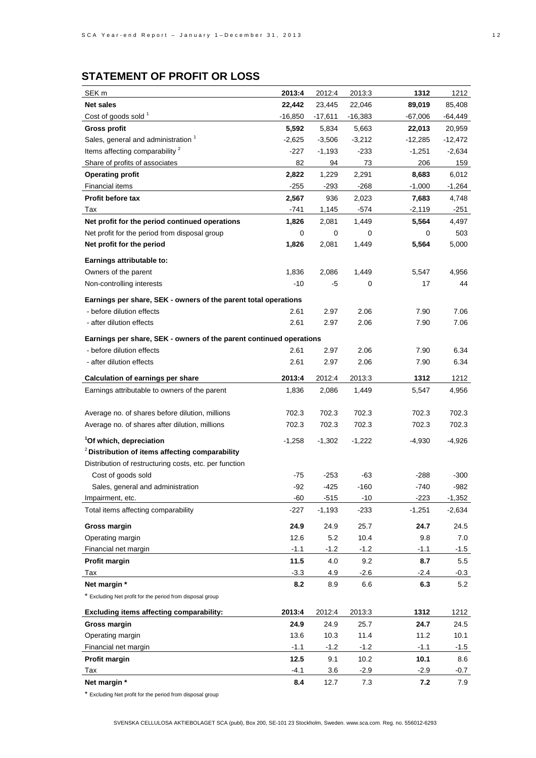# **STATEMENT OF PROFIT OR LOSS**

| <b>Net sales</b><br>22,046<br>22,442<br>23,445<br>89,019<br>85,408<br>Cost of goods sold <sup>1</sup><br>$-16,850$<br>$-17,611$<br>$-16,383$<br>$-67,006$<br><b>Gross profit</b><br>5,592<br>5,663<br>20,959<br>5,834<br>22,013<br>Sales, general and administration 1<br>$-2,625$<br>$-3,506$<br>$-3,212$<br>-12,285<br>-12,472<br>Items affecting comparability <sup>2</sup><br>$-227$<br>$-1,193$<br>$-233$<br>$-1,251$<br>$-2,634$<br>Share of profits of associates<br>82<br>94<br>73<br>206<br>159<br><b>Operating profit</b><br>2,822<br>1,229<br>2,291<br>8,683<br>6,012<br><b>Financial items</b><br>$-268$<br>-255<br>$-293$<br>$-1,000$<br>$-1,264$<br><b>Profit before tax</b><br>2,567<br>936<br>2,023<br>7,683<br>4,748<br>Tax<br>-741<br>1,145<br>-574<br>$-2,119$<br>-251<br>Net profit for the period continued operations<br>1,826<br>1,449<br>5,564<br>4,497<br>2,081<br>Net profit for the period from disposal group<br>0<br>0<br>0<br>503<br>0<br>Net profit for the period<br>1,826<br>5,564<br>5,000<br>2,081<br>1,449<br>Earnings attributable to:<br>Owners of the parent<br>1,836<br>2,086<br>1,449<br>5,547<br>4,956<br>-10<br>-5<br>0<br>17<br>44<br>Non-controlling interests<br>Earnings per share, SEK - owners of the parent total operations<br>- before dilution effects<br>7.06<br>2.61<br>2.97<br>2.06<br>7.90 | SEK <sub>m</sub> | 2013:4 | 2012:4 | 2013:3 | 1312 | 1212     |
|-----------------------------------------------------------------------------------------------------------------------------------------------------------------------------------------------------------------------------------------------------------------------------------------------------------------------------------------------------------------------------------------------------------------------------------------------------------------------------------------------------------------------------------------------------------------------------------------------------------------------------------------------------------------------------------------------------------------------------------------------------------------------------------------------------------------------------------------------------------------------------------------------------------------------------------------------------------------------------------------------------------------------------------------------------------------------------------------------------------------------------------------------------------------------------------------------------------------------------------------------------------------------------------------------------------------------------------------------------|------------------|--------|--------|--------|------|----------|
|                                                                                                                                                                                                                                                                                                                                                                                                                                                                                                                                                                                                                                                                                                                                                                                                                                                                                                                                                                                                                                                                                                                                                                                                                                                                                                                                                     |                  |        |        |        |      |          |
|                                                                                                                                                                                                                                                                                                                                                                                                                                                                                                                                                                                                                                                                                                                                                                                                                                                                                                                                                                                                                                                                                                                                                                                                                                                                                                                                                     |                  |        |        |        |      | -64,449  |
|                                                                                                                                                                                                                                                                                                                                                                                                                                                                                                                                                                                                                                                                                                                                                                                                                                                                                                                                                                                                                                                                                                                                                                                                                                                                                                                                                     |                  |        |        |        |      |          |
|                                                                                                                                                                                                                                                                                                                                                                                                                                                                                                                                                                                                                                                                                                                                                                                                                                                                                                                                                                                                                                                                                                                                                                                                                                                                                                                                                     |                  |        |        |        |      |          |
|                                                                                                                                                                                                                                                                                                                                                                                                                                                                                                                                                                                                                                                                                                                                                                                                                                                                                                                                                                                                                                                                                                                                                                                                                                                                                                                                                     |                  |        |        |        |      |          |
|                                                                                                                                                                                                                                                                                                                                                                                                                                                                                                                                                                                                                                                                                                                                                                                                                                                                                                                                                                                                                                                                                                                                                                                                                                                                                                                                                     |                  |        |        |        |      |          |
|                                                                                                                                                                                                                                                                                                                                                                                                                                                                                                                                                                                                                                                                                                                                                                                                                                                                                                                                                                                                                                                                                                                                                                                                                                                                                                                                                     |                  |        |        |        |      |          |
|                                                                                                                                                                                                                                                                                                                                                                                                                                                                                                                                                                                                                                                                                                                                                                                                                                                                                                                                                                                                                                                                                                                                                                                                                                                                                                                                                     |                  |        |        |        |      |          |
|                                                                                                                                                                                                                                                                                                                                                                                                                                                                                                                                                                                                                                                                                                                                                                                                                                                                                                                                                                                                                                                                                                                                                                                                                                                                                                                                                     |                  |        |        |        |      |          |
|                                                                                                                                                                                                                                                                                                                                                                                                                                                                                                                                                                                                                                                                                                                                                                                                                                                                                                                                                                                                                                                                                                                                                                                                                                                                                                                                                     |                  |        |        |        |      |          |
|                                                                                                                                                                                                                                                                                                                                                                                                                                                                                                                                                                                                                                                                                                                                                                                                                                                                                                                                                                                                                                                                                                                                                                                                                                                                                                                                                     |                  |        |        |        |      |          |
|                                                                                                                                                                                                                                                                                                                                                                                                                                                                                                                                                                                                                                                                                                                                                                                                                                                                                                                                                                                                                                                                                                                                                                                                                                                                                                                                                     |                  |        |        |        |      |          |
|                                                                                                                                                                                                                                                                                                                                                                                                                                                                                                                                                                                                                                                                                                                                                                                                                                                                                                                                                                                                                                                                                                                                                                                                                                                                                                                                                     |                  |        |        |        |      |          |
|                                                                                                                                                                                                                                                                                                                                                                                                                                                                                                                                                                                                                                                                                                                                                                                                                                                                                                                                                                                                                                                                                                                                                                                                                                                                                                                                                     |                  |        |        |        |      |          |
|                                                                                                                                                                                                                                                                                                                                                                                                                                                                                                                                                                                                                                                                                                                                                                                                                                                                                                                                                                                                                                                                                                                                                                                                                                                                                                                                                     |                  |        |        |        |      |          |
|                                                                                                                                                                                                                                                                                                                                                                                                                                                                                                                                                                                                                                                                                                                                                                                                                                                                                                                                                                                                                                                                                                                                                                                                                                                                                                                                                     |                  |        |        |        |      |          |
|                                                                                                                                                                                                                                                                                                                                                                                                                                                                                                                                                                                                                                                                                                                                                                                                                                                                                                                                                                                                                                                                                                                                                                                                                                                                                                                                                     |                  |        |        |        |      |          |
|                                                                                                                                                                                                                                                                                                                                                                                                                                                                                                                                                                                                                                                                                                                                                                                                                                                                                                                                                                                                                                                                                                                                                                                                                                                                                                                                                     |                  |        |        |        |      |          |
| - after dilution effects<br>2.97<br>7.06<br>2.61<br>2.06<br>7.90                                                                                                                                                                                                                                                                                                                                                                                                                                                                                                                                                                                                                                                                                                                                                                                                                                                                                                                                                                                                                                                                                                                                                                                                                                                                                    |                  |        |        |        |      |          |
|                                                                                                                                                                                                                                                                                                                                                                                                                                                                                                                                                                                                                                                                                                                                                                                                                                                                                                                                                                                                                                                                                                                                                                                                                                                                                                                                                     |                  |        |        |        |      |          |
| Earnings per share, SEK - owners of the parent continued operations                                                                                                                                                                                                                                                                                                                                                                                                                                                                                                                                                                                                                                                                                                                                                                                                                                                                                                                                                                                                                                                                                                                                                                                                                                                                                 |                  |        |        |        |      |          |
| - before dilution effects<br>2.61<br>2.97<br>2.06<br>7.90<br>6.34                                                                                                                                                                                                                                                                                                                                                                                                                                                                                                                                                                                                                                                                                                                                                                                                                                                                                                                                                                                                                                                                                                                                                                                                                                                                                   |                  |        |        |        |      |          |
| - after dilution effects<br>2.61<br>2.97<br>2.06<br>7.90<br>6.34                                                                                                                                                                                                                                                                                                                                                                                                                                                                                                                                                                                                                                                                                                                                                                                                                                                                                                                                                                                                                                                                                                                                                                                                                                                                                    |                  |        |        |        |      |          |
| 2013:4<br>2012:4<br>2013:3<br>1312<br><b>Calculation of earnings per share</b>                                                                                                                                                                                                                                                                                                                                                                                                                                                                                                                                                                                                                                                                                                                                                                                                                                                                                                                                                                                                                                                                                                                                                                                                                                                                      |                  |        |        |        |      | 1212     |
| Earnings attributable to owners of the parent<br>1,836<br>2,086<br>1,449<br>4,956<br>5,547                                                                                                                                                                                                                                                                                                                                                                                                                                                                                                                                                                                                                                                                                                                                                                                                                                                                                                                                                                                                                                                                                                                                                                                                                                                          |                  |        |        |        |      |          |
|                                                                                                                                                                                                                                                                                                                                                                                                                                                                                                                                                                                                                                                                                                                                                                                                                                                                                                                                                                                                                                                                                                                                                                                                                                                                                                                                                     |                  |        |        |        |      |          |
| Average no. of shares before dilution, millions<br>702.3<br>702.3<br>702.3<br>702.3<br>702.3                                                                                                                                                                                                                                                                                                                                                                                                                                                                                                                                                                                                                                                                                                                                                                                                                                                                                                                                                                                                                                                                                                                                                                                                                                                        |                  |        |        |        |      |          |
| Average no. of shares after dilution, millions<br>702.3<br>702.3<br>702.3<br>702.3<br>702.3                                                                                                                                                                                                                                                                                                                                                                                                                                                                                                                                                                                                                                                                                                                                                                                                                                                                                                                                                                                                                                                                                                                                                                                                                                                         |                  |        |        |        |      |          |
| <sup>1</sup> Of which, depreciation<br>$-1,258$<br>$-1,302$<br>$-1,222$<br>-4,930<br>-4,926                                                                                                                                                                                                                                                                                                                                                                                                                                                                                                                                                                                                                                                                                                                                                                                                                                                                                                                                                                                                                                                                                                                                                                                                                                                         |                  |        |        |        |      |          |
| <sup>2</sup> Distribution of items affecting comparability                                                                                                                                                                                                                                                                                                                                                                                                                                                                                                                                                                                                                                                                                                                                                                                                                                                                                                                                                                                                                                                                                                                                                                                                                                                                                          |                  |        |        |        |      |          |
| Distribution of restructuring costs, etc. per function                                                                                                                                                                                                                                                                                                                                                                                                                                                                                                                                                                                                                                                                                                                                                                                                                                                                                                                                                                                                                                                                                                                                                                                                                                                                                              |                  |        |        |        |      |          |
| Cost of goods sold<br>$-75$<br>$-253$<br>-63<br>$-288$<br>$-300$                                                                                                                                                                                                                                                                                                                                                                                                                                                                                                                                                                                                                                                                                                                                                                                                                                                                                                                                                                                                                                                                                                                                                                                                                                                                                    |                  |        |        |        |      |          |
| Sales, general and administration<br>$-92$<br>$-425$<br>$-160$<br>$-740$<br>$-982$                                                                                                                                                                                                                                                                                                                                                                                                                                                                                                                                                                                                                                                                                                                                                                                                                                                                                                                                                                                                                                                                                                                                                                                                                                                                  |                  |        |        |        |      |          |
| $-60$<br>$-515$<br>$-10$<br>$-223$<br>Impairment, etc.                                                                                                                                                                                                                                                                                                                                                                                                                                                                                                                                                                                                                                                                                                                                                                                                                                                                                                                                                                                                                                                                                                                                                                                                                                                                                              |                  |        |        |        |      | $-1,352$ |
| Total items affecting comparability<br>$-227$<br>$-1,193$<br>$-233$<br>$-1,251$                                                                                                                                                                                                                                                                                                                                                                                                                                                                                                                                                                                                                                                                                                                                                                                                                                                                                                                                                                                                                                                                                                                                                                                                                                                                     |                  |        |        |        |      | $-2,634$ |
| <b>Gross margin</b><br>24.9<br>24.9<br>25.7<br>24.7                                                                                                                                                                                                                                                                                                                                                                                                                                                                                                                                                                                                                                                                                                                                                                                                                                                                                                                                                                                                                                                                                                                                                                                                                                                                                                 |                  |        |        |        |      | 24.5     |
| 5.2<br>10.4<br>Operating margin<br>12.6<br>9.8                                                                                                                                                                                                                                                                                                                                                                                                                                                                                                                                                                                                                                                                                                                                                                                                                                                                                                                                                                                                                                                                                                                                                                                                                                                                                                      |                  |        |        |        |      | 7.0      |
| Financial net margin<br>$-1.1$<br>$-1.2$<br>$-1.2$<br>$-1.1$                                                                                                                                                                                                                                                                                                                                                                                                                                                                                                                                                                                                                                                                                                                                                                                                                                                                                                                                                                                                                                                                                                                                                                                                                                                                                        |                  |        |        |        |      | $-1.5$   |
| 11.5<br><b>Profit margin</b><br>4.0<br>9.2<br>8.7                                                                                                                                                                                                                                                                                                                                                                                                                                                                                                                                                                                                                                                                                                                                                                                                                                                                                                                                                                                                                                                                                                                                                                                                                                                                                                   |                  |        |        |        |      | 5.5      |
| $-3.3$<br>4.9<br>$-2.6$<br>$-2.4$<br>Tax                                                                                                                                                                                                                                                                                                                                                                                                                                                                                                                                                                                                                                                                                                                                                                                                                                                                                                                                                                                                                                                                                                                                                                                                                                                                                                            |                  |        |        |        |      | $-0.3$   |
| Net margin *<br>8.2<br>8.9<br>6.6<br>6.3                                                                                                                                                                                                                                                                                                                                                                                                                                                                                                                                                                                                                                                                                                                                                                                                                                                                                                                                                                                                                                                                                                                                                                                                                                                                                                            |                  |        |        |        |      | 5.2      |
| * Excluding Net profit for the period from disposal group                                                                                                                                                                                                                                                                                                                                                                                                                                                                                                                                                                                                                                                                                                                                                                                                                                                                                                                                                                                                                                                                                                                                                                                                                                                                                           |                  |        |        |        |      |          |
| Excluding items affecting comparability:<br>2013:4<br>2012:4<br>2013:3<br>1312                                                                                                                                                                                                                                                                                                                                                                                                                                                                                                                                                                                                                                                                                                                                                                                                                                                                                                                                                                                                                                                                                                                                                                                                                                                                      |                  |        |        |        |      | 1212     |
| Gross margin<br>24.9<br>24.9<br>25.7<br>24.7                                                                                                                                                                                                                                                                                                                                                                                                                                                                                                                                                                                                                                                                                                                                                                                                                                                                                                                                                                                                                                                                                                                                                                                                                                                                                                        |                  |        |        |        |      | 24.5     |
| Operating margin<br>13.6<br>10.3<br>11.4<br>11.2<br>10.1                                                                                                                                                                                                                                                                                                                                                                                                                                                                                                                                                                                                                                                                                                                                                                                                                                                                                                                                                                                                                                                                                                                                                                                                                                                                                            |                  |        |        |        |      |          |
| Financial net margin<br>$-1.1$<br>$-1.2$<br>$-1.2$<br>$-1.1$                                                                                                                                                                                                                                                                                                                                                                                                                                                                                                                                                                                                                                                                                                                                                                                                                                                                                                                                                                                                                                                                                                                                                                                                                                                                                        |                  |        |        |        |      | $-1.5$   |
| 10.1<br>Profit margin<br>12.5<br>9.1<br>10.2                                                                                                                                                                                                                                                                                                                                                                                                                                                                                                                                                                                                                                                                                                                                                                                                                                                                                                                                                                                                                                                                                                                                                                                                                                                                                                        |                  |        |        |        |      | 8.6      |
| $-4.1$<br>$-2.9$<br>Tax<br>3.6<br>$-2.9$                                                                                                                                                                                                                                                                                                                                                                                                                                                                                                                                                                                                                                                                                                                                                                                                                                                                                                                                                                                                                                                                                                                                                                                                                                                                                                            |                  |        |        |        |      | $-0.7$   |
| Net margin *<br>8.4<br>12.7<br>7.3<br>7.2                                                                                                                                                                                                                                                                                                                                                                                                                                                                                                                                                                                                                                                                                                                                                                                                                                                                                                                                                                                                                                                                                                                                                                                                                                                                                                           |                  |        |        |        |      | 7.9      |

\* Excluding Net profit for the period from disposal group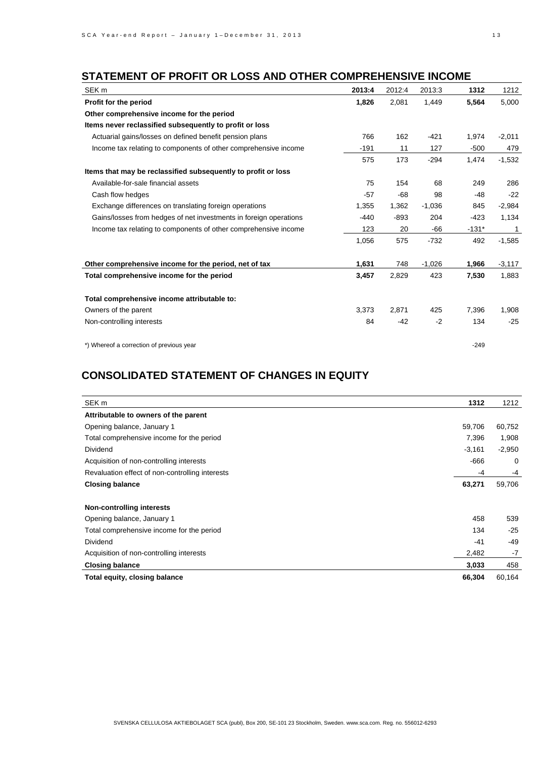# **STATEMENT OF PROFIT OR LOSS AND OTHER COMPREHENSIVE INCOME**

| SEK <sub>m</sub>                                                  | 2013:4 | 2012:4 | 2013:3   | 1312    | 1212     |
|-------------------------------------------------------------------|--------|--------|----------|---------|----------|
| Profit for the period                                             | 1,826  | 2,081  | 1,449    | 5,564   | 5,000    |
| Other comprehensive income for the period                         |        |        |          |         |          |
| Items never reclassified subsequently to profit or loss           |        |        |          |         |          |
| Actuarial gains/losses on defined benefit pension plans           | 766    | 162    | $-421$   | 1,974   | $-2,011$ |
| Income tax relating to components of other comprehensive income   | $-191$ | 11     | 127      | $-500$  | 479      |
|                                                                   | 575    | 173    | $-294$   | 1,474   | $-1,532$ |
| Items that may be reclassified subsequently to profit or loss     |        |        |          |         |          |
| Available-for-sale financial assets                               | 75     | 154    | 68       | 249     | 286      |
| Cash flow hedges                                                  | $-57$  | $-68$  | 98       | -48     | $-22$    |
| Exchange differences on translating foreign operations            | 1,355  | 1,362  | $-1,036$ | 845     | $-2,984$ |
| Gains/losses from hedges of net investments in foreign operations | $-440$ | $-893$ | 204      | $-423$  | 1,134    |
| Income tax relating to components of other comprehensive income   | 123    | 20     | $-66$    | $-131*$ | 1        |
|                                                                   | 1,056  | 575    | $-732$   | 492     | $-1,585$ |
| Other comprehensive income for the period, net of tax             | 1,631  | 748    | $-1,026$ | 1,966   | $-3,117$ |
| Total comprehensive income for the period                         | 3,457  | 2,829  | 423      | 7,530   | 1,883    |
| Total comprehensive income attributable to:                       |        |        |          |         |          |
| Owners of the parent                                              | 3,373  | 2,871  | 425      | 7,396   | 1,908    |
| Non-controlling interests                                         | 84     | $-42$  | $-2$     | 134     | $-25$    |
| *) Whereof a correction of previous year                          |        |        |          | $-249$  |          |

# **CONSOLIDATED STATEMENT OF CHANGES IN EQUITY**

| SEK <sub>m</sub>                                | 1312     | 1212     |
|-------------------------------------------------|----------|----------|
| Attributable to owners of the parent            |          |          |
| Opening balance, January 1                      | 59,706   | 60,752   |
| Total comprehensive income for the period       | 7,396    | 1,908    |
| <b>Dividend</b>                                 | $-3,161$ | $-2,950$ |
| Acquisition of non-controlling interests        | -666     | 0        |
| Revaluation effect of non-controlling interests | -4       | -4       |
| <b>Closing balance</b>                          | 63,271   | 59,706   |
| Non-controlling interests                       |          |          |
| Opening balance, January 1                      | 458      | 539      |
| Total comprehensive income for the period       | 134      | $-25$    |
| <b>Dividend</b>                                 | $-41$    | $-49$    |
| Acquisition of non-controlling interests        | 2,482    | $-7$     |
| <b>Closing balance</b>                          | 3,033    | 458      |
| Total equity, closing balance                   | 66,304   | 60,164   |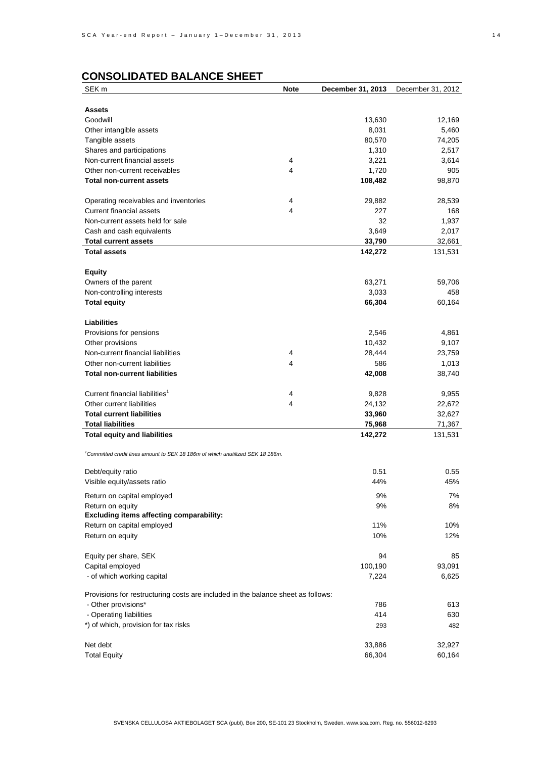# **CONSOLIDATED BALANCE SHEET**

| SEK <sub>m</sub>                                                                           | <b>Note</b> | December 31, 2013 | December 31, 2012 |
|--------------------------------------------------------------------------------------------|-------------|-------------------|-------------------|
|                                                                                            |             |                   |                   |
| <b>Assets</b>                                                                              |             |                   |                   |
| Goodwill                                                                                   |             | 13,630            | 12,169            |
| Other intangible assets                                                                    |             | 8,031             | 5,460             |
| Tangible assets                                                                            |             | 80,570            | 74,205            |
| Shares and participations                                                                  |             | 1,310             | 2,517             |
| Non-current financial assets                                                               | 4           | 3,221             | 3,614             |
| Other non-current receivables                                                              | 4           | 1,720             | 905               |
| <b>Total non-current assets</b>                                                            |             | 108,482           | 98,870            |
|                                                                                            |             |                   |                   |
| Operating receivables and inventories                                                      | 4           | 29,882            | 28,539            |
| <b>Current financial assets</b>                                                            | 4           | 227               | 168               |
| Non-current assets held for sale                                                           |             | 32                | 1,937             |
| Cash and cash equivalents                                                                  |             | 3,649             | 2,017             |
| <b>Total current assets</b>                                                                |             | 33,790            | 32,661            |
| <b>Total assets</b>                                                                        |             | 142,272           | 131,531           |
|                                                                                            |             |                   |                   |
| <b>Equity</b>                                                                              |             |                   |                   |
| Owners of the parent                                                                       |             | 63,271            | 59,706            |
| Non-controlling interests                                                                  |             | 3,033             | 458               |
| <b>Total equity</b>                                                                        |             | 66,304            | 60,164            |
|                                                                                            |             |                   |                   |
| <b>Liabilities</b>                                                                         |             |                   |                   |
| Provisions for pensions                                                                    |             | 2,546             | 4,861             |
| Other provisions                                                                           |             | 10,432            | 9,107             |
| Non-current financial liabilities                                                          | 4           | 28,444            | 23,759            |
| Other non-current liabilities                                                              | 4           | 586               | 1,013             |
| <b>Total non-current liabilities</b>                                                       |             | 42,008            | 38,740            |
|                                                                                            |             |                   |                   |
| Current financial liabilities <sup>1</sup>                                                 | 4           | 9,828             | 9,955             |
| Other current liabilities                                                                  | 4           | 24,132            | 22,672            |
| <b>Total current liabilities</b>                                                           |             | 33,960            | 32,627            |
| <b>Total liabilities</b>                                                                   |             | 75,968            | 71,367            |
| <b>Total equity and liabilities</b>                                                        |             | 142,272           | 131,531           |
|                                                                                            |             |                   |                   |
| <sup>1</sup> Committed credit lines amount to SEK 18 186m of which unutilized SEK 18 186m. |             |                   |                   |
| Debt/equity ratio                                                                          |             | 0.51              | 0.55              |
| Visible equity/assets ratio                                                                |             | 44%               | 45%               |
|                                                                                            |             |                   |                   |
| Return on capital employed                                                                 |             | 9%                | 7%                |
| Return on equity<br><b>Excluding items affecting comparability:</b>                        |             | 9%                | 8%                |
|                                                                                            |             | 11%               | 10%               |
| Return on capital employed<br>Return on equity                                             |             | 10%               | 12%               |
|                                                                                            |             |                   |                   |
| Equity per share, SEK                                                                      |             | 94                | 85                |
| Capital employed                                                                           |             | 100,190           | 93,091            |
| - of which working capital                                                                 |             | 7,224             | 6,625             |
|                                                                                            |             |                   |                   |
| Provisions for restructuring costs are included in the balance sheet as follows:           |             |                   |                   |
| - Other provisions*                                                                        |             | 786               | 613               |
| - Operating liabilities                                                                    |             | 414               | 630               |
| *) of which, provision for tax risks                                                       |             | 293               | 482               |
|                                                                                            |             |                   |                   |
| Net debt                                                                                   |             | 33,886            | 32,927            |
| <b>Total Equity</b>                                                                        |             | 66,304            | 60,164            |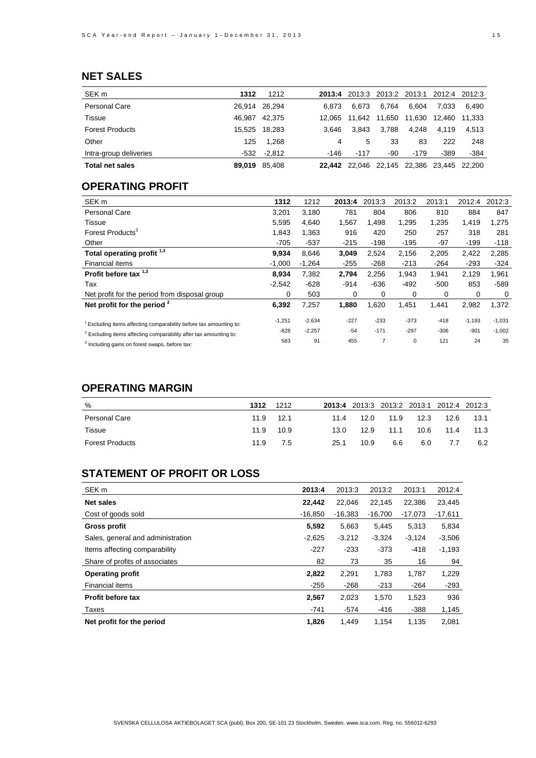# **NET SALES**

| SEK <sub>m</sub>       | 1312   | 1212          | 2013:4 | 2013:3                      |       | 2013:2 2013:1 | 2012:4 2012:3 |        |
|------------------------|--------|---------------|--------|-----------------------------|-------|---------------|---------------|--------|
| Personal Care          |        | 26,914 26,294 | 6.873  | 6.673                       | 6.764 | 6.604         | 7.033         | 6.490  |
| Tissue                 | 46.987 | 42.375        | 12.065 | 11.642 11.650               |       | 11,630        | 12.460        | 11.333 |
| <b>Forest Products</b> |        | 15.525 18.283 | 3.646  | 3.843                       | 3.788 | 4.248         | 4.119         | 4.513  |
| Other                  | 125    | 1,268         | 4      | 5                           | 33    | 83            | 222           | 248    |
| Intra-group deliveries |        | $-532 -2.812$ | -146   | $-117$                      | -90   | $-179$        | -389          | -384   |
| <b>Total net sales</b> |        | 89,019 85,408 |        | 22,442 22,046 22,145 22,386 |       |               | 23.445 22.200 |        |

## **OPERATING PROFIT**

| 1312     | 1212     | 2013:4 | 2013:3         | 2013:2 | 2013:1 | 2012:4   | 2012:3   |
|----------|----------|--------|----------------|--------|--------|----------|----------|
| 3,201    | 3,180    | 781    | 804            | 806    | 810    | 884      | 847      |
| 5,595    | 4.640    | 1,567  | 1.498          | 1,295  | 1,235  | 1,419    | 1,275    |
| 1,843    | 1,363    | 916    | 420            | 250    | 257    | 318      | 281      |
| $-705$   | $-537$   | $-215$ | $-198$         | $-195$ | $-97$  | $-199$   | $-118$   |
| 9,934    | 8.646    | 3,049  | 2.524          | 2,156  | 2,205  | 2,422    | 2,285    |
| $-1,000$ | $-1,264$ | $-255$ | $-268$         | $-213$ | $-264$ | $-293$   | $-324$   |
| 8,934    | 7,382    | 2,794  | 2,256          | 1,943  | 1,941  | 2,129    | 1,961    |
| $-2,542$ | $-628$   | $-914$ | $-636$         | $-492$ | $-500$ | 853      | $-589$   |
| 0        | 503      | 0      | 0              | 0      | 0      | 0        | 0        |
| 6,392    | 7,257    | 1,880  | 1,620          | 1,451  | 1,441  | 2,982    | 1,372    |
| $-1,251$ | $-2,634$ | $-227$ | $-233$         | $-373$ | $-418$ | $-1,193$ | $-1,031$ |
| $-828$   | $-2,257$ | $-54$  | $-171$         | $-297$ | $-306$ | $-901$   | $-1,002$ |
| 583      | 91       | 455    | $\overline{7}$ | 0      | 121    | 24       | 35       |
|          |          |        |                |        |        |          |          |

## **OPERATING MARGIN**

| %                      | 1312 | 1212      |      | 2013:4 2013:3 2013:2 2013:1 2012:4 2012:3 |      |      |      |      |
|------------------------|------|-----------|------|-------------------------------------------|------|------|------|------|
| <b>Personal Care</b>   | 11.9 | $-12.1$   | 11.4 | 12.0                                      | 11.9 | 12.3 | 12.6 | 13.1 |
| Tissue                 |      | 11.9 10.9 | 13.0 | 12.9                                      | 11.1 | 10.6 | 11.4 | 11.3 |
| <b>Forest Products</b> | 11.9 | 7.5       | 25.1 | 10.9                                      | 6.6  | 6.0  | 7.7  | 6.2  |

# **STATEMENT OF PROFIT OR LOSS**

| SEK <sub>m</sub>                  | 2013:4    | 2013:3    | 2013:2    | 2013:1    | 2012:4    |
|-----------------------------------|-----------|-----------|-----------|-----------|-----------|
| <b>Net sales</b>                  | 22.442    | 22,046    | 22.145    | 22.386    | 23,445    |
| Cost of goods sold                | $-16.850$ | $-16,383$ | $-16.700$ | $-17,073$ | $-17,611$ |
| Gross profit                      | 5,592     | 5,663     | 5,445     | 5,313     | 5,834     |
| Sales, general and administration | $-2,625$  | $-3,212$  | $-3,324$  | $-3,124$  | $-3,506$  |
| Items affecting comparability     | $-227$    | $-233$    | $-373$    | $-418$    | $-1,193$  |
| Share of profits of associates    | 82        | 73        | 35        | 16        | 94        |
| <b>Operating profit</b>           | 2,822     | 2,291     | 1,783     | 1,787     | 1,229     |
| Financial items                   | $-255$    | $-268$    | $-213$    | $-264$    | $-293$    |
| Profit before tax                 | 2,567     | 2,023     | 1,570     | 1,523     | 936       |
| Taxes                             | $-741$    | $-574$    | $-416$    | $-388$    | 1,145     |
| Net profit for the period         | 1,826     | 1.449     | 1.154     | 1.135     | 2,081     |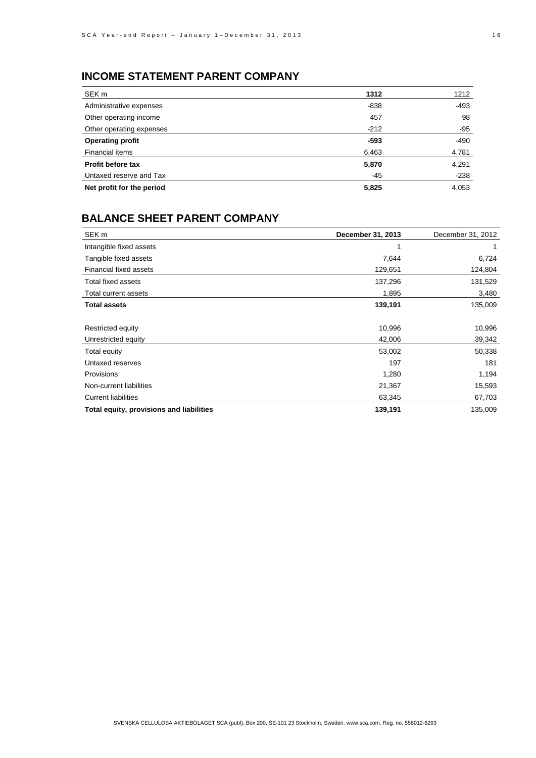# **INCOME STATEMENT PARENT COMPANY**

| SEK <sub>m</sub>          | 1312   | 1212   |
|---------------------------|--------|--------|
| Administrative expenses   | $-838$ | -493   |
| Other operating income    | 457    | 98     |
| Other operating expenses  | $-212$ | -95    |
| <b>Operating profit</b>   | $-593$ | $-490$ |
| Financial items           | 6,463  | 4,781  |
| <b>Profit before tax</b>  | 5,870  | 4,291  |
| Untaxed reserve and Tax   | -45    | $-238$ |
| Net profit for the period | 5,825  | 4,053  |

## **BALANCE SHEET PARENT COMPANY**

| SEK <sub>m</sub>                         | December 31, 2013 | December 31, 2012 |
|------------------------------------------|-------------------|-------------------|
| Intangible fixed assets                  |                   |                   |
| Tangible fixed assets                    | 7,644             | 6,724             |
| <b>Financial fixed assets</b>            | 129,651           | 124,804           |
| Total fixed assets                       | 137,296           | 131,529           |
| Total current assets                     | 1,895             | 3,480             |
| <b>Total assets</b>                      | 139,191           | 135,009           |
|                                          |                   |                   |
| Restricted equity                        | 10,996            | 10,996            |
| Unrestricted equity                      | 42,006            | 39,342            |
| Total equity                             | 53,002            | 50,338            |
| Untaxed reserves                         | 197               | 181               |
| Provisions                               | 1,280             | 1,194             |
| Non-current liabilities                  | 21,367            | 15,593            |
| <b>Current liabilities</b>               | 63,345            | 67,703            |
| Total equity, provisions and liabilities | 139,191           | 135,009           |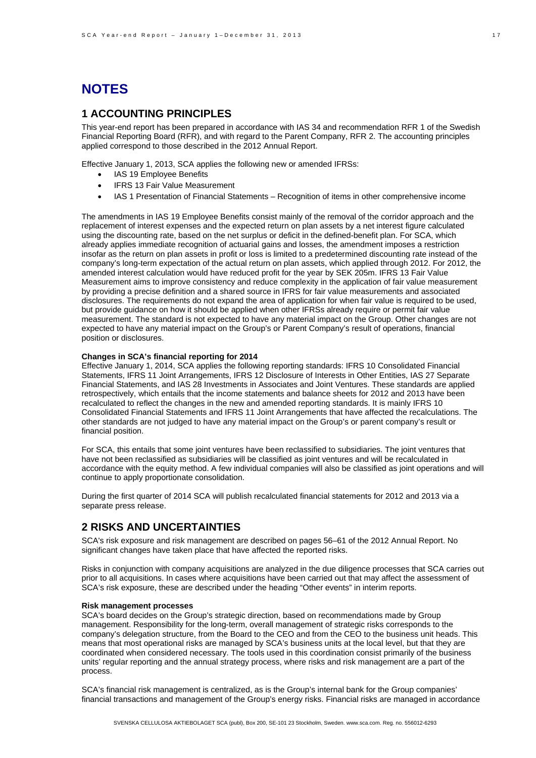# **NOTES**

### **1 ACCOUNTING PRINCIPLES**

This year-end report has been prepared in accordance with IAS 34 and recommendation RFR 1 of the Swedish Financial Reporting Board (RFR), and with regard to the Parent Company, RFR 2. The accounting principles applied correspond to those described in the 2012 Annual Report.

Effective January 1, 2013, SCA applies the following new or amended IFRSs:

- IAS 19 Employee Benefits
- IFRS 13 Fair Value Measurement
- IAS 1 Presentation of Financial Statements Recognition of items in other comprehensive income

The amendments in IAS 19 Employee Benefits consist mainly of the removal of the corridor approach and the replacement of interest expenses and the expected return on plan assets by a net interest figure calculated using the discounting rate, based on the net surplus or deficit in the defined-benefit plan. For SCA, which already applies immediate recognition of actuarial gains and losses, the amendment imposes a restriction insofar as the return on plan assets in profit or loss is limited to a predetermined discounting rate instead of the company's long-term expectation of the actual return on plan assets, which applied through 2012. For 2012, the amended interest calculation would have reduced profit for the year by SEK 205m. IFRS 13 Fair Value Measurement aims to improve consistency and reduce complexity in the application of fair value measurement by providing a precise definition and a shared source in IFRS for fair value measurements and associated disclosures. The requirements do not expand the area of application for when fair value is required to be used, but provide guidance on how it should be applied when other IFRSs already require or permit fair value measurement. The standard is not expected to have any material impact on the Group. Other changes are not expected to have any material impact on the Group's or Parent Company's result of operations, financial position or disclosures.

#### **Changes in SCA's financial reporting for 2014**

Effective January 1, 2014, SCA applies the following reporting standards: IFRS 10 Consolidated Financial Statements, IFRS 11 Joint Arrangements, IFRS 12 Disclosure of Interests in Other Entities, IAS 27 Separate Financial Statements, and IAS 28 Investments in Associates and Joint Ventures. These standards are applied retrospectively, which entails that the income statements and balance sheets for 2012 and 2013 have been recalculated to reflect the changes in the new and amended reporting standards. It is mainly IFRS 10 Consolidated Financial Statements and IFRS 11 Joint Arrangements that have affected the recalculations. The other standards are not judged to have any material impact on the Group's or parent company's result or financial position.

For SCA, this entails that some joint ventures have been reclassified to subsidiaries. The joint ventures that have not been reclassified as subsidiaries will be classified as joint ventures and will be recalculated in accordance with the equity method. A few individual companies will also be classified as joint operations and will continue to apply proportionate consolidation.

During the first quarter of 2014 SCA will publish recalculated financial statements for 2012 and 2013 via a separate press release.

### **2 RISKS AND UNCERTAINTIES**

SCA's risk exposure and risk management are described on pages 56–61 of the 2012 Annual Report. No significant changes have taken place that have affected the reported risks.

Risks in conjunction with company acquisitions are analyzed in the due diligence processes that SCA carries out prior to all acquisitions. In cases where acquisitions have been carried out that may affect the assessment of SCA's risk exposure, these are described under the heading "Other events" in interim reports.

#### **Risk management processes**

SCA's board decides on the Group's strategic direction, based on recommendations made by Group management. Responsibility for the long-term, overall management of strategic risks corresponds to the company's delegation structure, from the Board to the CEO and from the CEO to the business unit heads. This means that most operational risks are managed by SCA's business units at the local level, but that they are coordinated when considered necessary. The tools used in this coordination consist primarily of the business units' regular reporting and the annual strategy process, where risks and risk management are a part of the process.

SCA's financial risk management is centralized, as is the Group's internal bank for the Group companies' financial transactions and management of the Group's energy risks. Financial risks are managed in accordance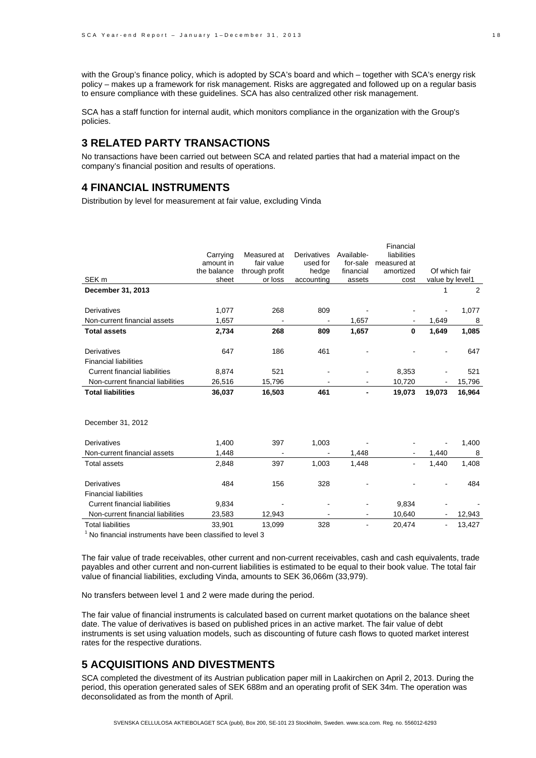with the Group's finance policy, which is adopted by SCA's board and which – together with SCA's energy risk policy – makes up a framework for risk management. Risks are aggregated and followed up on a regular basis to ensure compliance with these guidelines. SCA has also centralized other risk management.

SCA has a staff function for internal audit, which monitors compliance in the organization with the Group's policies.

### **3 RELATED PARTY TRANSACTIONS**

No transactions have been carried out between SCA and related parties that had a material impact on the company's financial position and results of operations.

#### **4 FINANCIAL INSTRUMENTS**

Distribution by level for measurement at fair value, excluding Vinda

|                                      | Carrying<br>amount in | Measured at<br>fair value | <b>Derivatives</b><br>used for | Available-<br>for-sale | Financial<br>liabilities<br>measured at |                                  |        |
|--------------------------------------|-----------------------|---------------------------|--------------------------------|------------------------|-----------------------------------------|----------------------------------|--------|
| SEK <sub>m</sub>                     | the balance<br>sheet  | through profit<br>or loss | hedge<br>accounting            | financial<br>assets    | amortized<br>cost                       | Of which fair<br>value by level1 |        |
| December 31, 2013                    |                       |                           |                                |                        |                                         | 1                                | 2      |
|                                      |                       |                           |                                |                        |                                         |                                  |        |
| Derivatives                          | 1,077                 | 268                       | 809                            |                        |                                         |                                  | 1,077  |
| Non-current financial assets         | 1,657                 |                           |                                | 1,657                  |                                         | 1,649                            | 8      |
| <b>Total assets</b>                  | 2,734                 | 268                       | 809                            | 1,657                  | 0                                       | 1,649                            | 1,085  |
| Derivatives                          | 647                   | 186                       | 461                            |                        |                                         |                                  | 647    |
| <b>Financial liabilities</b>         |                       |                           |                                |                        |                                         |                                  |        |
| <b>Current financial liabilities</b> | 8,874                 | 521                       |                                |                        | 8,353                                   |                                  | 521    |
| Non-current financial liabilities    | 26,516                | 15,796                    |                                |                        | 10,720                                  |                                  | 15,796 |
| <b>Total liabilities</b>             | 36,037                | 16,503                    | 461                            |                        | 19,073                                  | 19,073                           | 16,964 |
| December 31, 2012                    |                       |                           |                                |                        |                                         |                                  |        |
| Derivatives                          | 1,400                 | 397                       | 1,003                          |                        |                                         |                                  | 1,400  |
| Non-current financial assets         | 1,448                 |                           |                                | 1,448                  |                                         | 1,440                            | 8      |
| <b>Total assets</b>                  | 2,848                 | 397                       | 1,003                          | 1,448                  |                                         | 1,440                            | 1,408  |
| Derivatives                          | 484                   | 156                       | 328                            |                        |                                         |                                  | 484    |
| <b>Financial liabilities</b>         |                       |                           |                                |                        |                                         |                                  |        |
| <b>Current financial liabilities</b> | 9,834                 |                           |                                |                        | 9,834                                   |                                  |        |
| Non-current financial liabilities    | 23,583                | 12,943                    |                                |                        | 10,640                                  |                                  | 12,943 |
| <b>Total liabilities</b>             | 33,901                | 13,099                    | 328                            | ۰                      | 20,474                                  | $\overline{\phantom{a}}$         | 13,427 |

1 No financial instruments have been classified to level 3

The fair value of trade receivables, other current and non-current receivables, cash and cash equivalents, trade payables and other current and non-current liabilities is estimated to be equal to their book value. The total fair value of financial liabilities, excluding Vinda, amounts to SEK 36,066m (33,979).

No transfers between level 1 and 2 were made during the period.

The fair value of financial instruments is calculated based on current market quotations on the balance sheet date. The value of derivatives is based on published prices in an active market. The fair value of debt instruments is set using valuation models, such as discounting of future cash flows to quoted market interest rates for the respective durations.

### **5 ACQUISITIONS AND DIVESTMENTS**

SCA completed the divestment of its Austrian publication paper mill in Laakirchen on April 2, 2013. During the period, this operation generated sales of SEK 688m and an operating profit of SEK 34m. The operation was deconsolidated as from the month of April.